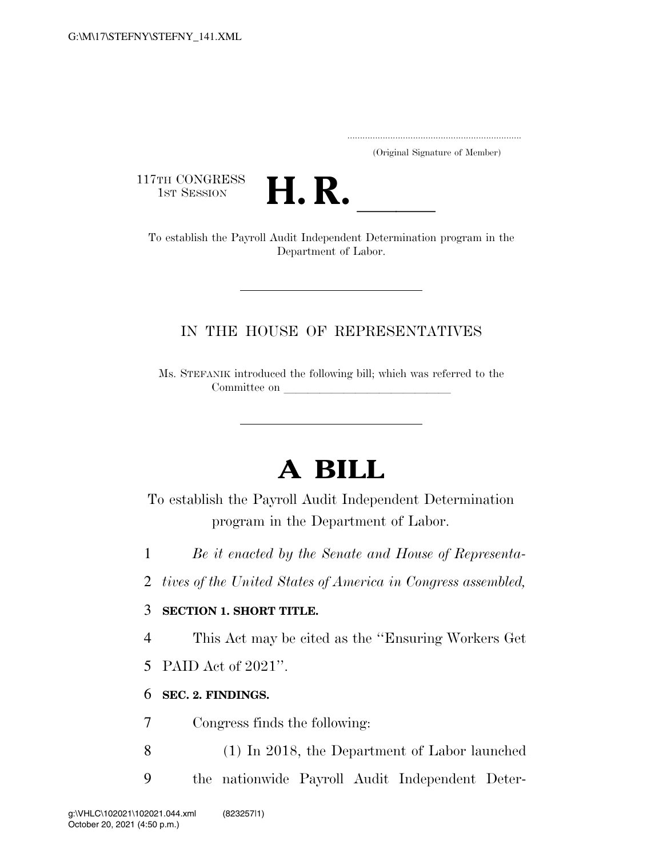..................................................................... (Original Signature of Member)

117TH CONGRESS<br>1st Session



THE CONGRESS<br>
1ST SESSION<br>
To establish the Payroll Audit Independent Determination program in the Department of Labor.

### IN THE HOUSE OF REPRESENTATIVES

Ms. STEFANIK introduced the following bill; which was referred to the Committee on

# **A BILL**

To establish the Payroll Audit Independent Determination program in the Department of Labor.

1 *Be it enacted by the Senate and House of Representa-*

2 *tives of the United States of America in Congress assembled,* 

#### 3 **SECTION 1. SHORT TITLE.**

4 This Act may be cited as the ''Ensuring Workers Get

5 PAID Act of 2021''.

#### 6 **SEC. 2. FINDINGS.**

7 Congress finds the following:

8 (1) In 2018, the Department of Labor launched 9 the nationwide Payroll Audit Independent Deter-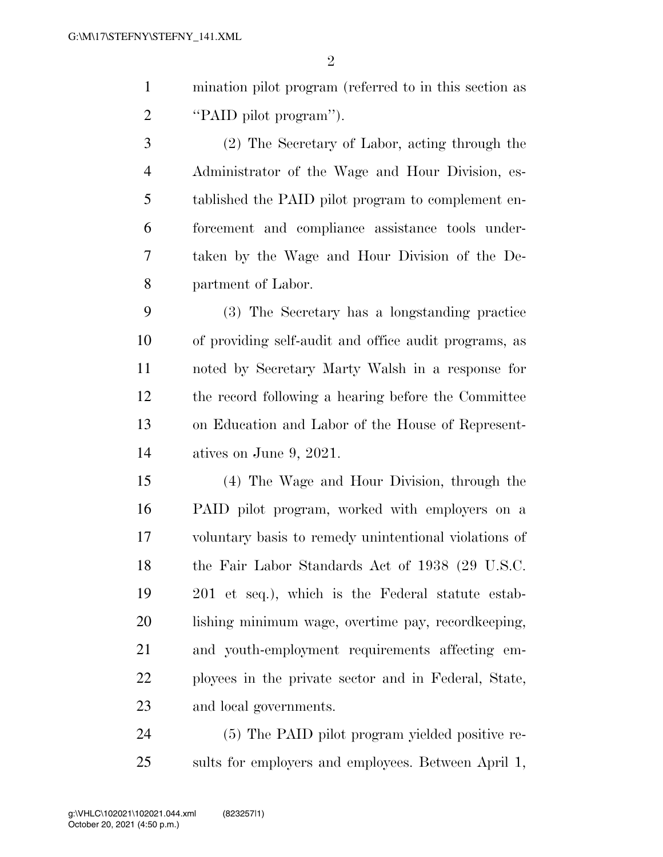mination pilot program (referred to in this section as ''PAID pilot program'').

 (2) The Secretary of Labor, acting through the Administrator of the Wage and Hour Division, es- tablished the PAID pilot program to complement en- forcement and compliance assistance tools under- taken by the Wage and Hour Division of the De-partment of Labor.

 (3) The Secretary has a longstanding practice of providing self-audit and office audit programs, as noted by Secretary Marty Walsh in a response for the record following a hearing before the Committee on Education and Labor of the House of Represent-atives on June 9, 2021.

 (4) The Wage and Hour Division, through the PAID pilot program, worked with employers on a voluntary basis to remedy unintentional violations of 18 the Fair Labor Standards Act of 1938 (29 U.S.C. 201 et seq.), which is the Federal statute estab- lishing minimum wage, overtime pay, recordkeeping, and youth-employment requirements affecting em- ployees in the private sector and in Federal, State, and local governments.

 (5) The PAID pilot program yielded positive re-sults for employers and employees. Between April 1,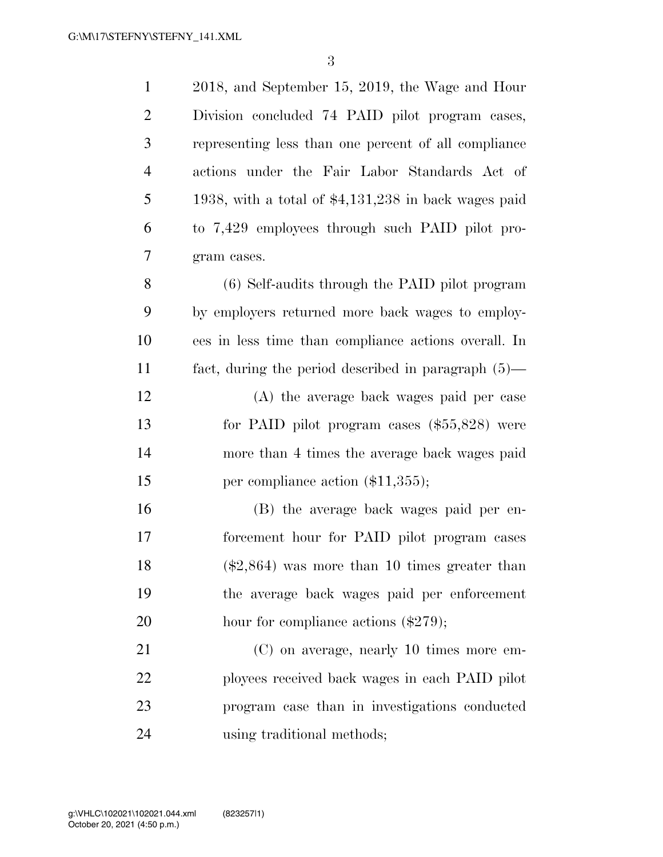2018, and September 15, 2019, the Wage and Hour Division concluded 74 PAID pilot program cases, representing less than one percent of all compliance actions under the Fair Labor Standards Act of 1938, with a total of \$4,131,238 in back wages paid to 7,429 employees through such PAID pilot pro- gram cases. (6) Self-audits through the PAID pilot program by employers returned more back wages to employ- ees in less time than compliance actions overall. In fact, during the period described in paragraph (5)— (A) the average back wages paid per case for PAID pilot program cases (\$55,828) were more than 4 times the average back wages paid 15 per compliance action (\$11,355); (B) the average back wages paid per en- forcement hour for PAID pilot program cases (\$2,864) was more than 10 times greater than the average back wages paid per enforcement 20 hour for compliance actions (\$279); (C) on average, nearly 10 times more em- ployees received back wages in each PAID pilot program case than in investigations conducted using traditional methods;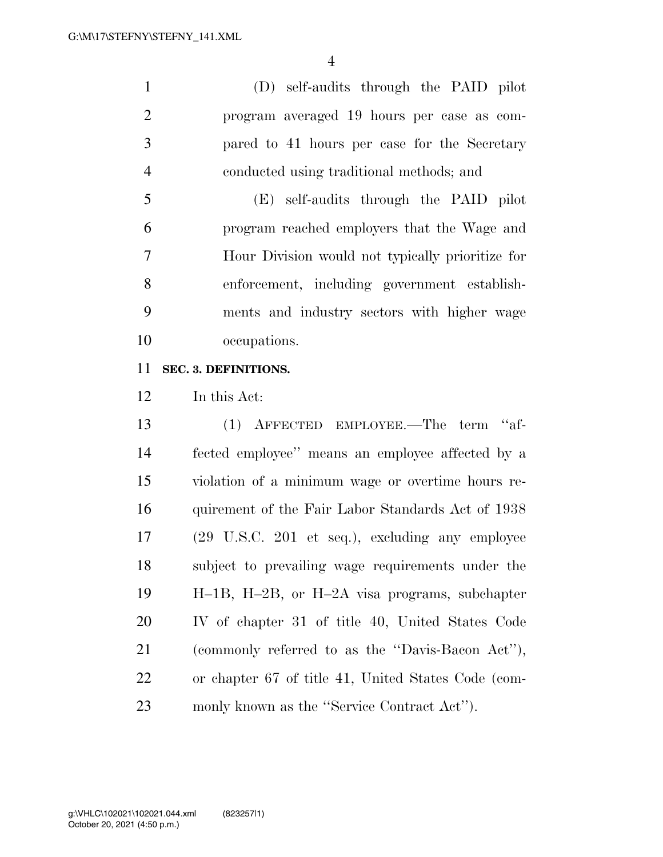(D) self-audits through the PAID pilot program averaged 19 hours per case as com- pared to 41 hours per case for the Secretary conducted using traditional methods; and

 (E) self-audits through the PAID pilot program reached employers that the Wage and Hour Division would not typically prioritize for enforcement, including government establish- ments and industry sectors with higher wage occupations.

#### **SEC. 3. DEFINITIONS.**

In this Act:

 (1) AFFECTED EMPLOYEE.—The term ''af- fected employee'' means an employee affected by a violation of a minimum wage or overtime hours re- quirement of the Fair Labor Standards Act of 1938 (29 U.S.C. 201 et seq.), excluding any employee subject to prevailing wage requirements under the H–1B, H–2B, or H–2A visa programs, subchapter IV of chapter 31 of title 40, United States Code (commonly referred to as the ''Davis-Bacon Act''), or chapter 67 of title 41, United States Code (com-monly known as the ''Service Contract Act'').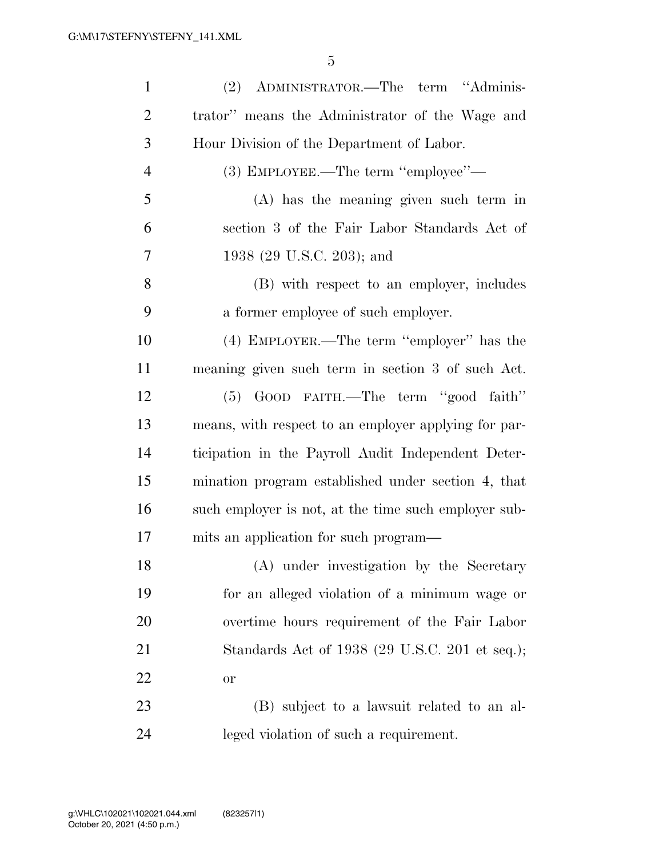| $\mathbf{1}$   | (2) ADMINISTRATOR.—The term "Adminis-                |
|----------------|------------------------------------------------------|
| $\overline{2}$ | trator" means the Administrator of the Wage and      |
| 3              | Hour Division of the Department of Labor.            |
| $\overline{4}$ | (3) EMPLOYEE.—The term "employee"—                   |
| 5              | $(A)$ has the meaning given such term in             |
| 6              | section 3 of the Fair Labor Standards Act of         |
| 7              | 1938 (29 U.S.C. 203); and                            |
| 8              | (B) with respect to an employer, includes            |
| 9              | a former employee of such employer.                  |
| 10             | (4) EMPLOYER.—The term "employer" has the            |
| 11             | meaning given such term in section 3 of such Act.    |
| 12             | (5) GOOD FAITH.—The term "good faith"                |
| 13             | means, with respect to an employer applying for par- |
| 14             | ticipation in the Payroll Audit Independent Deter-   |
| 15             | mination program established under section 4, that   |
| 16             | such employer is not, at the time such employer sub- |
| 17             | mits an application for such program—                |
| 18             | (A) under investigation by the Secretary             |
| 19             | for an alleged violation of a minimum wage or        |
| 20             | overtime hours requirement of the Fair Labor         |
| 21             | Standards Act of 1938 (29 U.S.C. 201 et seq.);       |
| 22             | <b>or</b>                                            |
| 23             | (B) subject to a lawsuit related to an al-           |
| 24             | leged violation of such a requirement.               |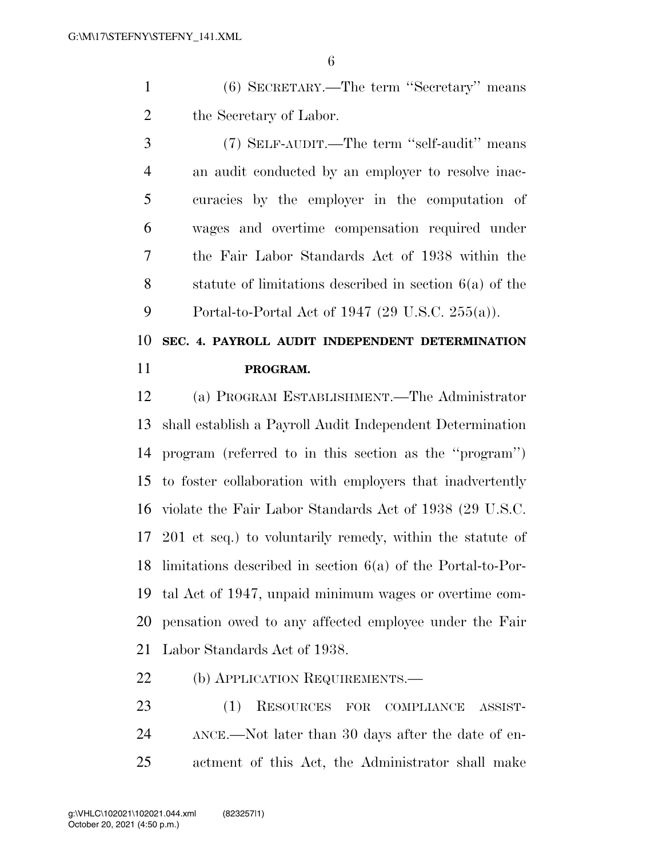(6) SECRETARY.—The term ''Secretary'' means the Secretary of Labor.

 (7) SELF-AUDIT.—The term ''self-audit'' means an audit conducted by an employer to resolve inac- curacies by the employer in the computation of wages and overtime compensation required under the Fair Labor Standards Act of 1938 within the statute of limitations described in section 6(a) of the Portal-to-Portal Act of 1947 (29 U.S.C. 255(a)).

## **SEC. 4. PAYROLL AUDIT INDEPENDENT DETERMINATION PROGRAM.**

 (a) PROGRAM ESTABLISHMENT.—The Administrator shall establish a Payroll Audit Independent Determination program (referred to in this section as the ''program'') to foster collaboration with employers that inadvertently violate the Fair Labor Standards Act of 1938 (29 U.S.C. 201 et seq.) to voluntarily remedy, within the statute of limitations described in section 6(a) of the Portal-to-Por- tal Act of 1947, unpaid minimum wages or overtime com- pensation owed to any affected employee under the Fair Labor Standards Act of 1938.

22 (b) APPLICATION REQUIREMENTS.—

 (1) RESOURCES FOR COMPLIANCE ASSIST- ANCE.—Not later than 30 days after the date of en-actment of this Act, the Administrator shall make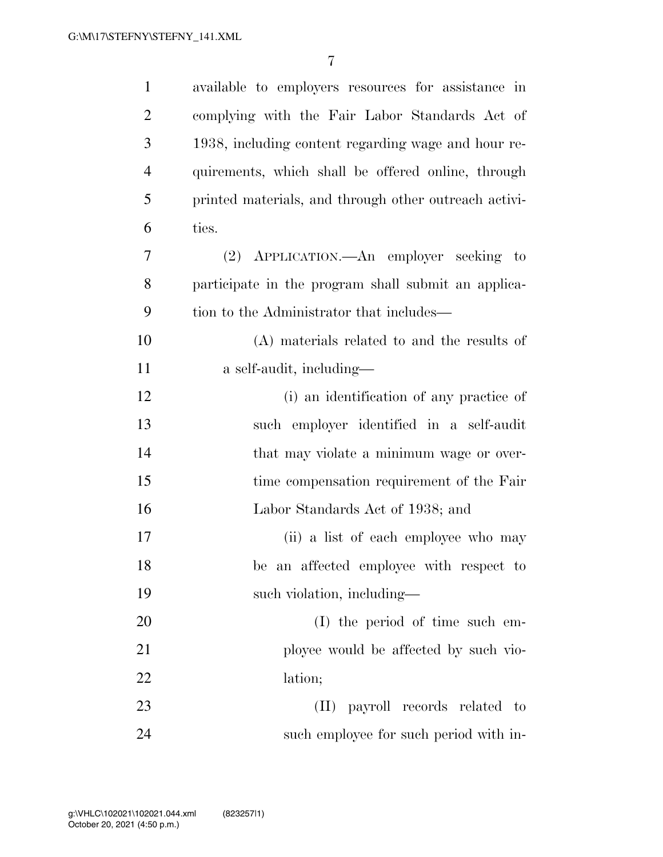| $\mathbf{1}$   | available to employers resources for assistance in    |
|----------------|-------------------------------------------------------|
| $\overline{2}$ | complying with the Fair Labor Standards Act of        |
| 3              | 1938, including content regarding wage and hour re-   |
| $\overline{4}$ | quirements, which shall be offered online, through    |
| 5              | printed materials, and through other outreach activi- |
| 6              | ties.                                                 |
| 7              | (2) APPLICATION.—An employer seeking to               |
| 8              | participate in the program shall submit an applica-   |
| 9              | tion to the Administrator that includes—              |
| 10             | (A) materials related to and the results of           |
| 11             | a self-audit, including—                              |
| 12             | (i) an identification of any practice of              |
| 13             | such employer identified in a self-audit              |
| 14             | that may violate a minimum wage or over-              |
| 15             | time compensation requirement of the Fair             |
| 16             | Labor Standards Act of 1938; and                      |
| 17             | (ii) a list of each employee who may                  |
| 18             | be an affected employee with respect to               |
| 19             | such violation, including-                            |
| 20             | (I) the period of time such em-                       |
| 21             | ployee would be affected by such vio-                 |
| 22             | lation;                                               |
| 23             | (II) payroll records related to                       |
| 24             | such employee for such period with in-                |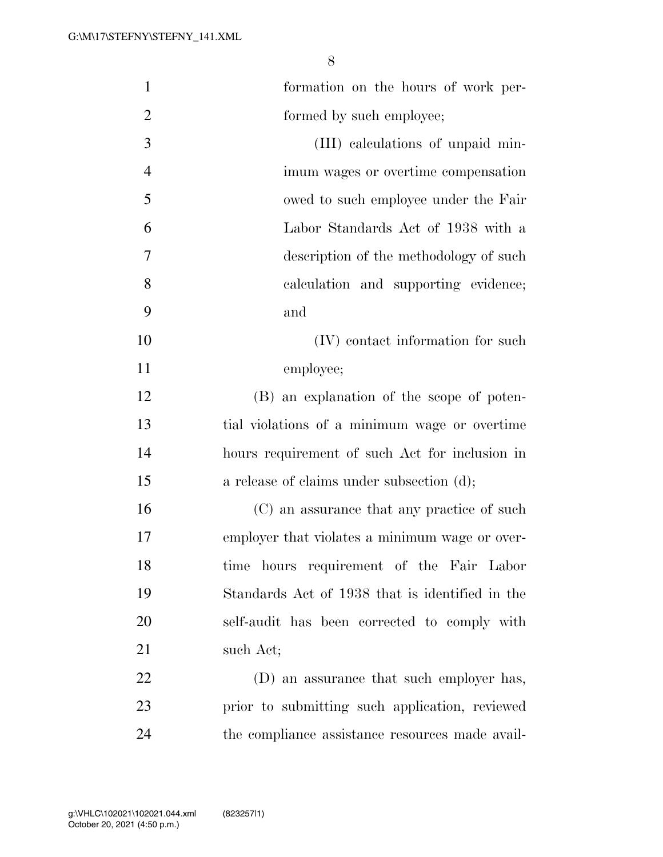| $\mathbf{1}$   | formation on the hours of work per-             |
|----------------|-------------------------------------------------|
| $\overline{2}$ | formed by such employee;                        |
| 3              | (III) calculations of unpaid min-               |
| $\overline{4}$ | imum wages or overtime compensation             |
| 5              | owed to such employee under the Fair            |
| 6              | Labor Standards Act of 1938 with a              |
| 7              | description of the methodology of such          |
| 8              | calculation and supporting evidence;            |
| 9              | and                                             |
| 10             | (IV) contact information for such               |
| 11             | employee;                                       |
| 12             | (B) an explanation of the scope of poten-       |
| 13             | tial violations of a minimum wage or overtime   |
| 14             | hours requirement of such Act for inclusion in  |
| 15             | a release of claims under subsection (d);       |
| 16             | (C) an assurance that any practice of such      |
| 17             | employer that violates a minimum wage or over-  |
| 18             | time hours requirement of the Fair Labor        |
| 19             | Standards Act of 1938 that is identified in the |
| 20             | self-audit has been corrected to comply with    |
| 21             | such Act;                                       |
| 22             | (D) an assurance that such employer has,        |
| 23             | prior to submitting such application, reviewed  |
| 24             | the compliance assistance resources made avail- |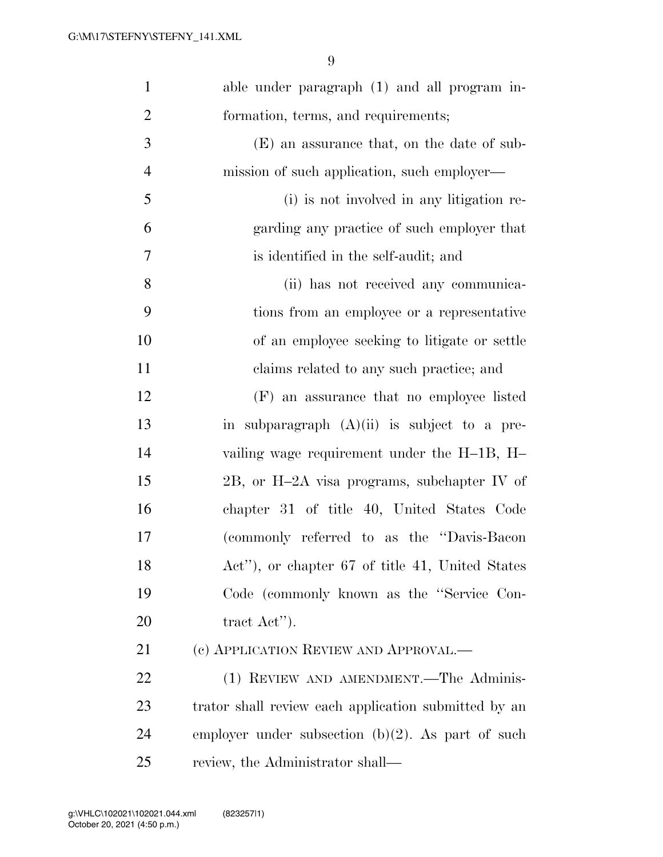| $\mathbf{1}$   | able under paragraph (1) and all program in-         |
|----------------|------------------------------------------------------|
| $\overline{2}$ | formation, terms, and requirements;                  |
| 3              | (E) an assurance that, on the date of sub-           |
| $\overline{4}$ | mission of such application, such employer—          |
| 5              | (i) is not involved in any litigation re-            |
| 6              | garding any practice of such employer that           |
| 7              | is identified in the self-audit; and                 |
| 8              | (ii) has not received any communica-                 |
| 9              | tions from an employee or a representative           |
| 10             | of an employee seeking to litigate or settle         |
| 11             | claims related to any such practice; and             |
| 12             | (F) an assurance that no employee listed             |
| 13             | in subparagraph $(A)(ii)$ is subject to a pre-       |
| 14             | vailing wage requirement under the H-1B, H-          |
| 15             | 2B, or H-2A visa programs, subchapter IV of          |
| 16             | chapter 31 of title 40, United States Code           |
| 17             | (commonly referred to as the "Davis-Bacon"           |
| 18             | Act"), or chapter 67 of title 41, United States      |
| 19             | Code (commonly known as the "Service Con-            |
| 20             | tract $\text{Act}$ ").                               |
| 21             | (c) APPLICATION REVIEW AND APPROVAL.—                |
| 22             | (1) REVIEW AND AMENDMENT.—The Adminis-               |
| 23             | trator shall review each application submitted by an |
| 24             | employer under subsection $(b)(2)$ . As part of such |
| 25             | review, the Administrator shall—                     |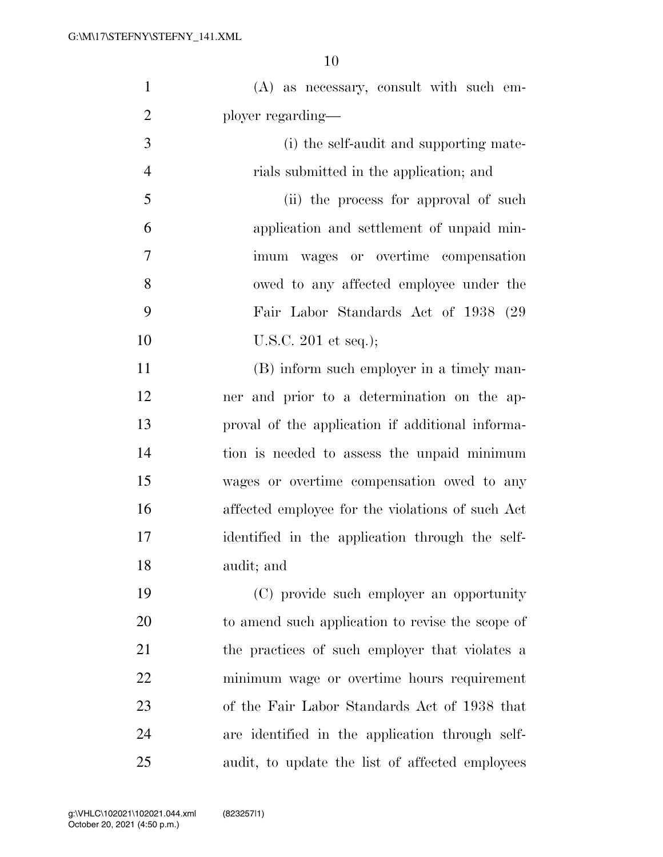| $\mathbf{1}$   | $(A)$ as necessary, consult with such em-        |
|----------------|--------------------------------------------------|
| $\overline{2}$ | ployer regarding—                                |
| 3              | (i) the self-audit and supporting mate-          |
| $\overline{4}$ | rials submitted in the application; and          |
| 5              | (ii) the process for approval of such            |
| 6              | application and settlement of unpaid min-        |
| $\overline{7}$ | imum wages or overtime compensation              |
| 8              | owed to any affected employee under the          |
| 9              | Fair Labor Standards Act of 1938 (29)            |
| 10             | U.S.C. $201$ et seq.);                           |
| 11             | (B) inform such employer in a timely man-        |
| 12             | ner and prior to a determination on the ap-      |
| 13             | proval of the application if additional informa- |
| 14             | tion is needed to assess the unpaid minimum      |
| 15             | wages or overtime compensation owed to any       |
| 16             | affected employee for the violations of such Act |
| 17             | identified in the application through the self-  |
| 18             | audit; and                                       |
| 19             | (C) provide such employer an opportunity         |
| 20             | to amend such application to revise the scope of |
| 21             | the practices of such employer that violates a   |
| 22             | minimum wage or overtime hours requirement       |
| 23             | of the Fair Labor Standards Act of 1938 that     |
| 24             | are identified in the application through self-  |
| 25             | audit, to update the list of affected employees  |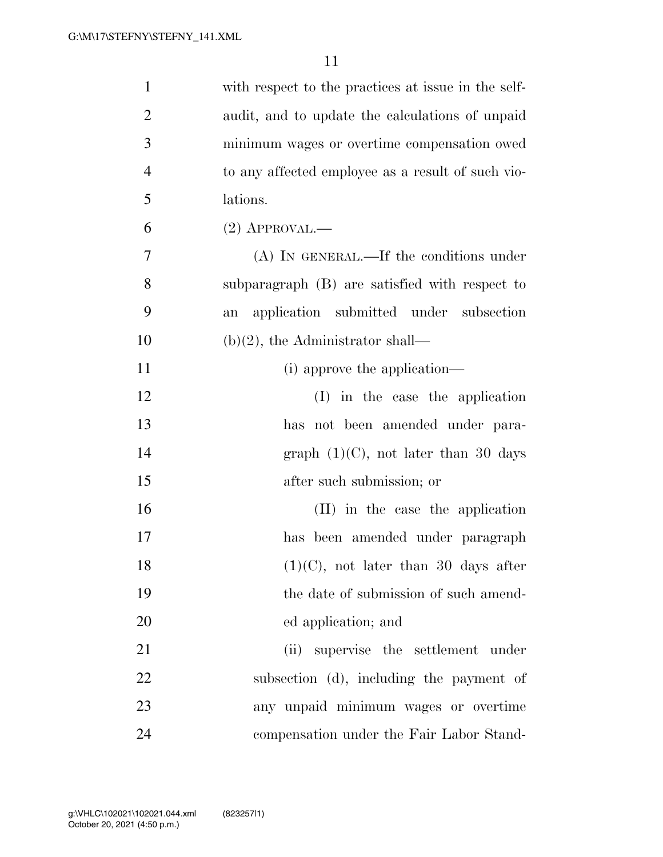| $\mathbf{1}$   | with respect to the practices at issue in the self- |
|----------------|-----------------------------------------------------|
| $\overline{2}$ | audit, and to update the calculations of unpaid     |
| 3              | minimum wages or overtime compensation owed         |
| $\overline{4}$ | to any affected employee as a result of such vio-   |
| 5              | lations.                                            |
| 6              | $(2)$ APPROVAL.—                                    |
| 7              | (A) IN GENERAL.—If the conditions under             |
| 8              | subparagraph (B) are satisfied with respect to      |
| 9              | application submitted under subsection<br>an        |
| 10             | $(b)(2)$ , the Administrator shall—                 |
| 11             | (i) approve the application—                        |
| 12             | (I) in the case the application                     |
| 13             | has not been amended under para-                    |
| 14             | graph $(1)(C)$ , not later than 30 days             |
| 15             | after such submission; or                           |
| 16             | (II) in the case the application                    |
| 17             | has been amended under paragraph                    |
| 18             | $(1)(C)$ , not later than 30 days after             |
| 19             | the date of submission of such amend-               |
| 20             | ed application; and                                 |
| 21             | (ii) supervise the settlement under                 |
| 22             | subsection (d), including the payment of            |
| 23             | any unpaid minimum wages or overtime                |
| 24             | compensation under the Fair Labor Stand-            |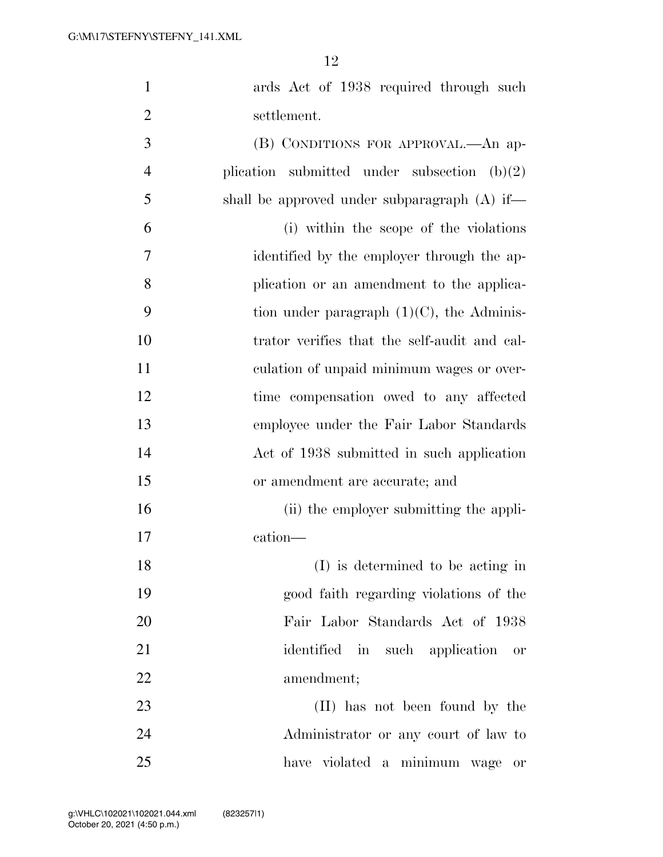| $\mathbf{1}$   | ards Act of 1938 required through such          |
|----------------|-------------------------------------------------|
| 2              | settlement.                                     |
| 3              | (B) CONDITIONS FOR APPROVAL.—An ap-             |
| $\overline{4}$ | plication submitted under subsection $(b)(2)$   |
| 5              | shall be approved under subparagraph $(A)$ if—  |
| 6              | (i) within the scope of the violations          |
| 7              | identified by the employer through the ap-      |
| 8              | plication or an amendment to the applica-       |
| 9              | tion under paragraph $(1)(C)$ , the Adminis-    |
| 10             | trator verifies that the self-audit and cal-    |
| 11             | culation of unpaid minimum wages or over-       |
| 12             | time compensation owed to any affected          |
| 13             | employee under the Fair Labor Standards         |
| 14             | Act of 1938 submitted in such application       |
| 15             | or amendment are accurate; and                  |
| 16             | (ii) the employer submitting the appli-         |
| 17             | cation-                                         |
| 18             | (I) is determined to be acting in               |
| 19             | good faith regarding violations of the          |
| 20             | Fair Labor Standards Act of 1938                |
| 21             | identified in such application<br>$\mathrm{or}$ |
| 22             | amendment;                                      |
| 23             | (II) has not been found by the                  |
| 24             | Administrator or any court of law to            |
| 25             | have violated a minimum wage<br>0r              |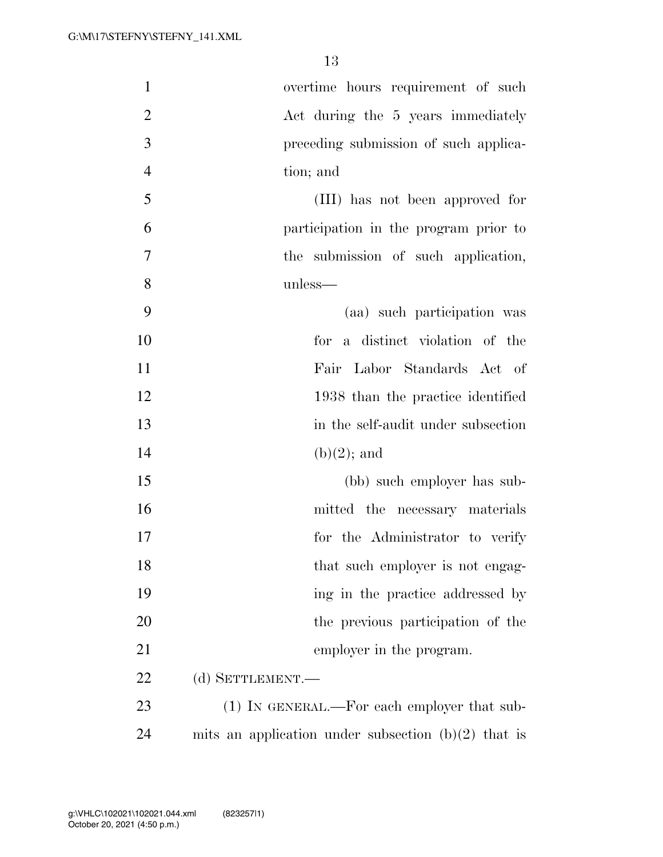| $\mathbf{1}$   | overtime hours requirement of such                    |
|----------------|-------------------------------------------------------|
| $\overline{2}$ | Act during the 5 years immediately                    |
| 3              | preceding submission of such applica-                 |
| $\overline{4}$ | tion; and                                             |
| 5              | (III) has not been approved for                       |
| 6              | participation in the program prior to                 |
| $\overline{7}$ | the submission of such application,                   |
| 8              | unless—                                               |
| 9              | (aa) such participation was                           |
| 10             | for a distinct violation of the                       |
| 11             | Fair Labor Standards Act of                           |
| 12             | 1938 than the practice identified                     |
| 13             | in the self-audit under subsection                    |
| 14             | $(b)(2)$ ; and                                        |
| 15             | (bb) such employer has sub-                           |
| 16             | mitted the necessary materials                        |
| 17             | for the Administrator to verify                       |
| 18             | that such employer is not engag-                      |
| 19             | ing in the practice addressed by                      |
| 20             | the previous participation of the                     |
| 21             | employer in the program.                              |
| 22             | (d) SETTLEMENT.                                       |
| 23             | $(1)$ In GENERAL.—For each employer that sub-         |
| 24             | mits an application under subsection $(b)(2)$ that is |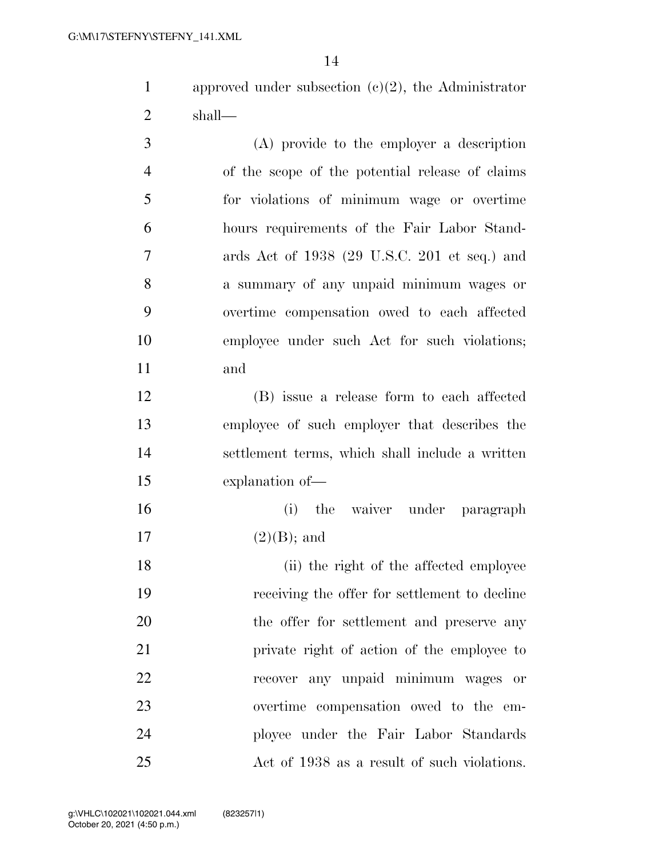approved under subsection (c)(2), the Administrator shall—

 (A) provide to the employer a description of the scope of the potential release of claims for violations of minimum wage or overtime hours requirements of the Fair Labor Stand- ards Act of 1938 (29 U.S.C. 201 et seq.) and a summary of any unpaid minimum wages or overtime compensation owed to each affected employee under such Act for such violations; and

 (B) issue a release form to each affected employee of such employer that describes the settlement terms, which shall include a written explanation of—

 (i) the waiver under paragraph 17  $(2)(B)$ ; and

18 (ii) the right of the affected employee receiving the offer for settlement to decline 20 the offer for settlement and preserve any private right of action of the employee to recover any unpaid minimum wages or overtime compensation owed to the em- ployee under the Fair Labor Standards Act of 1938 as a result of such violations.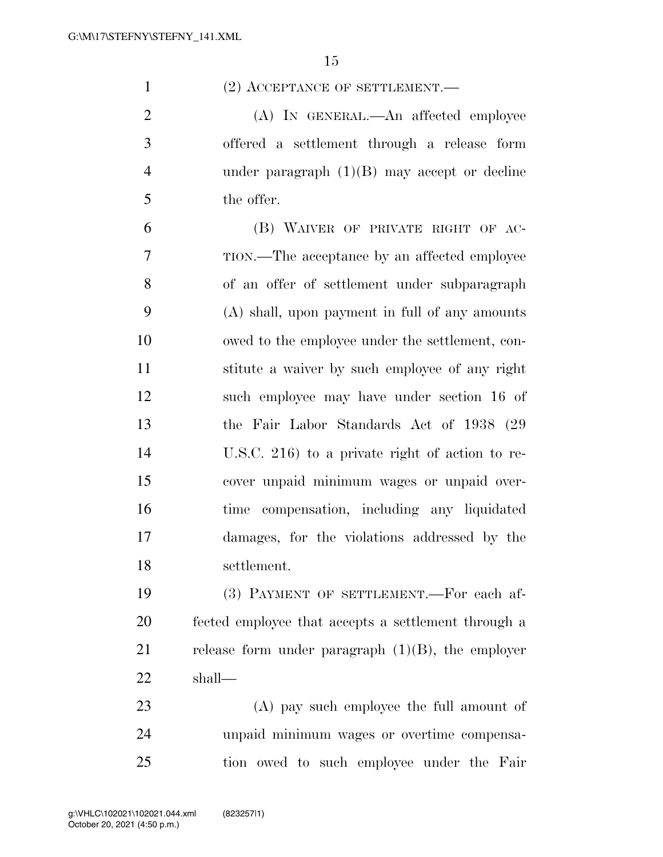1 (2) ACCEPTANCE OF SETTLEMENT.

2 (A) IN GENERAL.—An affected employee offered a settlement through a release form under paragraph (1)(B) may accept or decline the offer.

 (B) WAIVER OF PRIVATE RIGHT OF AC- TION.—The acceptance by an affected employee of an offer of settlement under subparagraph (A) shall, upon payment in full of any amounts owed to the employee under the settlement, con- stitute a waiver by such employee of any right such employee may have under section 16 of the Fair Labor Standards Act of 1938 (29 U.S.C. 216) to a private right of action to re- cover unpaid minimum wages or unpaid over- time compensation, including any liquidated damages, for the violations addressed by the settlement.

 (3) PAYMENT OF SETTLEMENT.—For each af- fected employee that accepts a settlement through a 21 release form under paragraph  $(1)(B)$ , the employer shall—

 (A) pay such employee the full amount of unpaid minimum wages or overtime compensa-tion owed to such employee under the Fair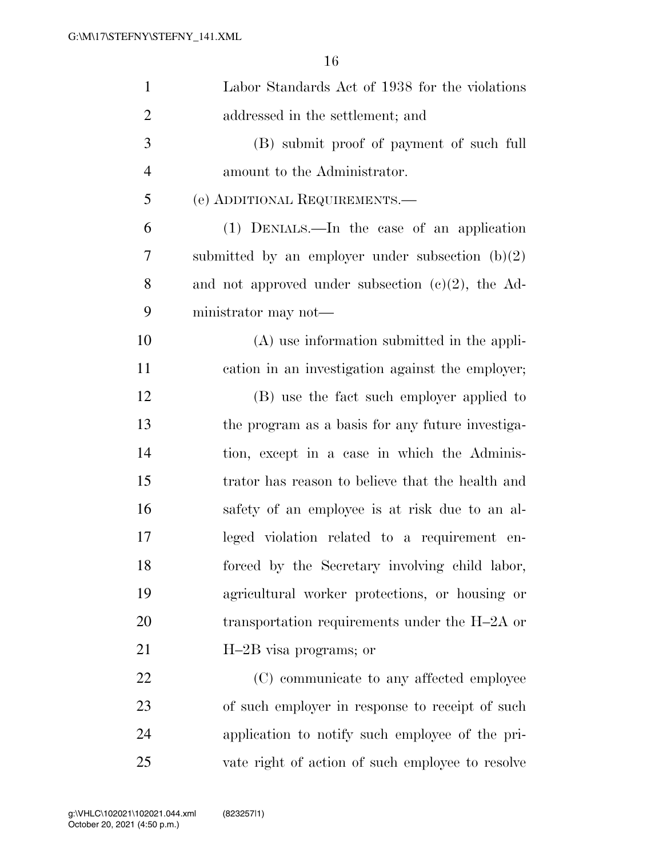| $\mathbf{1}$   | Labor Standards Act of 1938 for the violations       |
|----------------|------------------------------------------------------|
| $\overline{2}$ | addressed in the settlement; and                     |
| $\mathfrak{Z}$ | (B) submit proof of payment of such full             |
| $\overline{4}$ | amount to the Administrator.                         |
| 5              | (e) ADDITIONAL REQUIREMENTS.—                        |
| 6              | (1) DENIALS.—In the case of an application           |
| 7              | submitted by an employer under subsection $(b)(2)$   |
| 8              | and not approved under subsection $(c)(2)$ , the Ad- |
| 9              | ministrator may not—                                 |
| 10             | $(A)$ use information submitted in the appli-        |
| 11             | cation in an investigation against the employer;     |
| 12             | (B) use the fact such employer applied to            |
| 13             | the program as a basis for any future investiga-     |
| 14             | tion, except in a case in which the Adminis-         |
| 15             | trator has reason to believe that the health and     |
| 16             | safety of an employee is at risk due to an al-       |
| 17             | leged violation related to a requirement en-         |
| 18             | forced by the Secretary involving child labor,       |
| 19             | agricultural worker protections, or housing or       |
| 20             | transportation requirements under the $H-2A$ or      |
| 21             | H-2B visa programs; or                               |
| 22             | (C) communicate to any affected employee             |
| 23             | of such employer in response to receipt of such      |
| 24             | application to notify such employee of the pri-      |
| 25             | vate right of action of such employee to resolve     |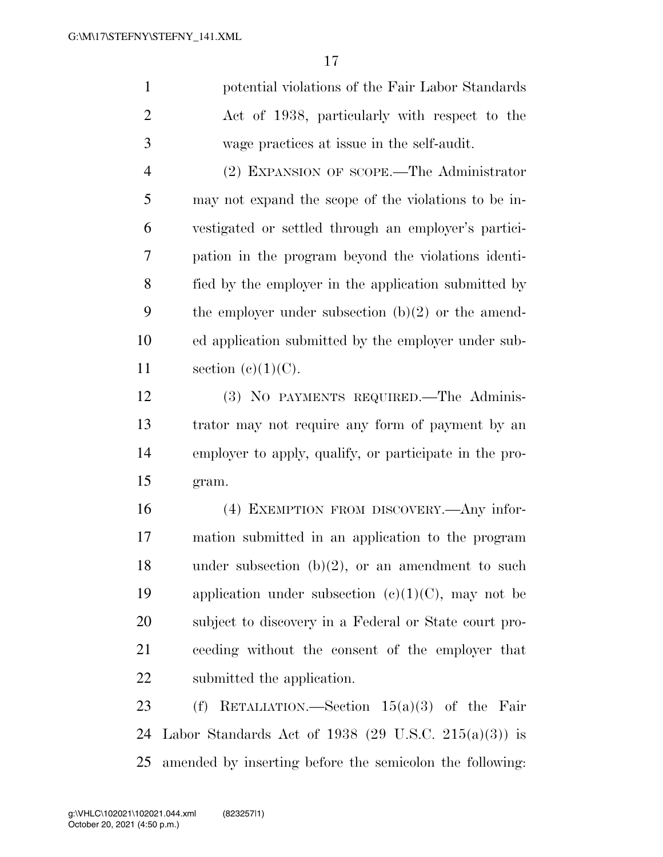potential violations of the Fair Labor Standards Act of 1938, particularly with respect to the wage practices at issue in the self-audit.

 (2) EXPANSION OF SCOPE.—The Administrator may not expand the scope of the violations to be in- vestigated or settled through an employer's partici- pation in the program beyond the violations identi- fied by the employer in the application submitted by 9 the employer under subsection  $(b)(2)$  or the amend- ed application submitted by the employer under sub-11 section  $(e)(1)(C)$ .

 (3) NO PAYMENTS REQUIRED.—The Adminis- trator may not require any form of payment by an employer to apply, qualify, or participate in the pro-gram.

 (4) EXEMPTION FROM DISCOVERY.—Any infor- mation submitted in an application to the program 18 under subsection  $(b)(2)$ , or an amendment to such 19 application under subsection  $(c)(1)(C)$ , may not be subject to discovery in a Federal or State court pro- ceeding without the consent of the employer that submitted the application.

 (f) RETALIATION.—Section 15(a)(3) of the Fair Labor Standards Act of 1938 (29 U.S.C. 215(a)(3)) is amended by inserting before the semicolon the following: